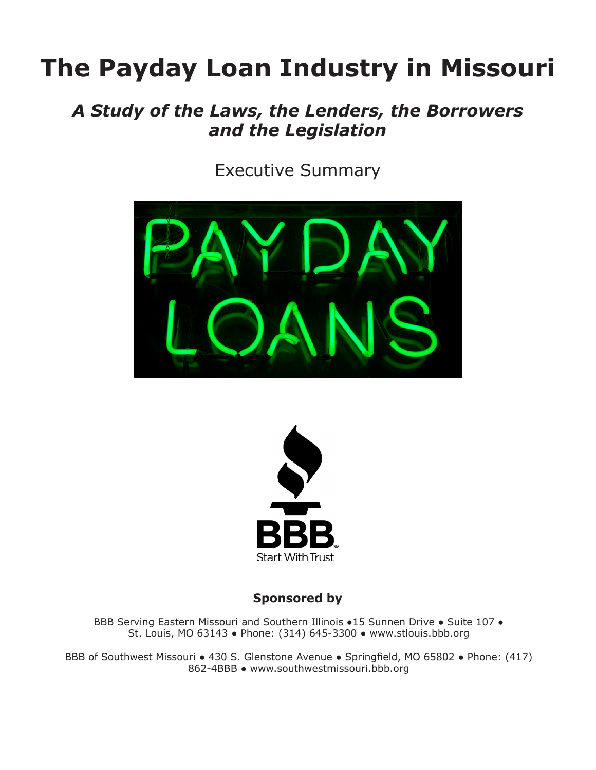# **The Payday Loan Industry in Missouri**

### *A Study of the Laws, the Lenders, the Borrowers and the Legislation*

Executive Summary





**Sponsored by**

BBB Serving Eastern Missouri and Southern Illinois •15 Sunnen Drive • Suite 107 • St. Louis, MO 63143 ● Phone: (314) 645-3300 ● www.stlouis.bbb.org

BBB of Southwest Missouri • 430 S. Glenstone Avenue • Springfield, MO 65802 • Phone: (417) 862-4BBB ● www.southwestmissouri.bbb.org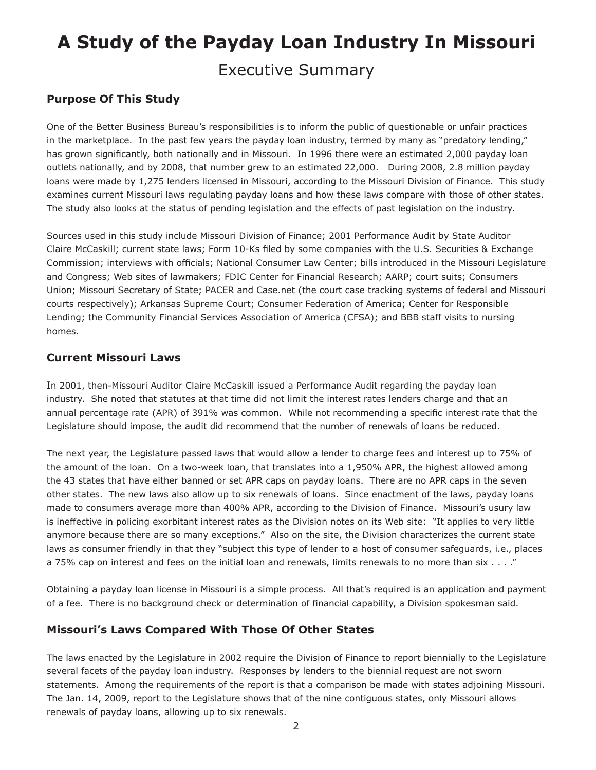## **A Study of the Payday Loan Industry In Missouri** Executive Summary

#### **Purpose Of This Study**

One of the Better Business Bureau's responsibilities is to inform the public of questionable or unfair practices in the marketplace. In the past few years the payday loan industry, termed by many as "predatory lending," has grown significantly, both nationally and in Missouri. In 1996 there were an estimated 2,000 payday loan outlets nationally, and by 2008, that number grew to an estimated 22,000. During 2008, 2.8 million payday loans were made by 1,275 lenders licensed in Missouri, according to the Missouri Division of Finance. This study examines current Missouri laws regulating payday loans and how these laws compare with those of other states. The study also looks at the status of pending legislation and the effects of past legislation on the industry.

Sources used in this study include Missouri Division of Finance; 2001 Performance Audit by State Auditor Claire McCaskill; current state laws; Form 10-Ks filed by some companies with the U.S. Securities & Exchange Commission; interviews with officials; National Consumer Law Center; bills introduced in the Missouri Legislature and Congress; Web sites of lawmakers; FDIC Center for Financial Research; AARP; court suits; Consumers Union; Missouri Secretary of State; PACER and Case.net (the court case tracking systems of federal and Missouri courts respectively); Arkansas Supreme Court; Consumer Federation of America; Center for Responsible Lending; the Community Financial Services Association of America (CFSA); and BBB staff visits to nursing homes.

#### **Current Missouri Laws**

In 2001, then-Missouri Auditor Claire McCaskill issued a Performance Audit regarding the payday loan industry. She noted that statutes at that time did not limit the interest rates lenders charge and that an annual percentage rate (APR) of 391% was common. While not recommending a specific interest rate that the Legislature should impose, the audit did recommend that the number of renewals of loans be reduced.

The next year, the Legislature passed laws that would allow a lender to charge fees and interest up to 75% of the amount of the loan. On a two-week loan, that translates into a 1,950% APR, the highest allowed among the 43 states that have either banned or set APR caps on payday loans. There are no APR caps in the seven other states. The new laws also allow up to six renewals of loans. Since enactment of the laws, payday loans made to consumers average more than 400% APR, according to the Division of Finance. Missouri's usury law is ineffective in policing exorbitant interest rates as the Division notes on its Web site: "It applies to very little anymore because there are so many exceptions." Also on the site, the Division characterizes the current state laws as consumer friendly in that they "subject this type of lender to a host of consumer safeguards, i.e., places a 75% cap on interest and fees on the initial loan and renewals, limits renewals to no more than six . . . ."

Obtaining a payday loan license in Missouri is a simple process. All that's required is an application and payment of a fee. There is no background check or determination of financial capability, a Division spokesman said.

#### **Missouri's Laws Compared With Those Of Other States**

The laws enacted by the Legislature in 2002 require the Division of Finance to report biennially to the Legislature several facets of the payday loan industry. Responses by lenders to the biennial request are not sworn statements. Among the requirements of the report is that a comparison be made with states adjoining Missouri. The Jan. 14, 2009, report to the Legislature shows that of the nine contiguous states, only Missouri allows renewals of payday loans, allowing up to six renewals.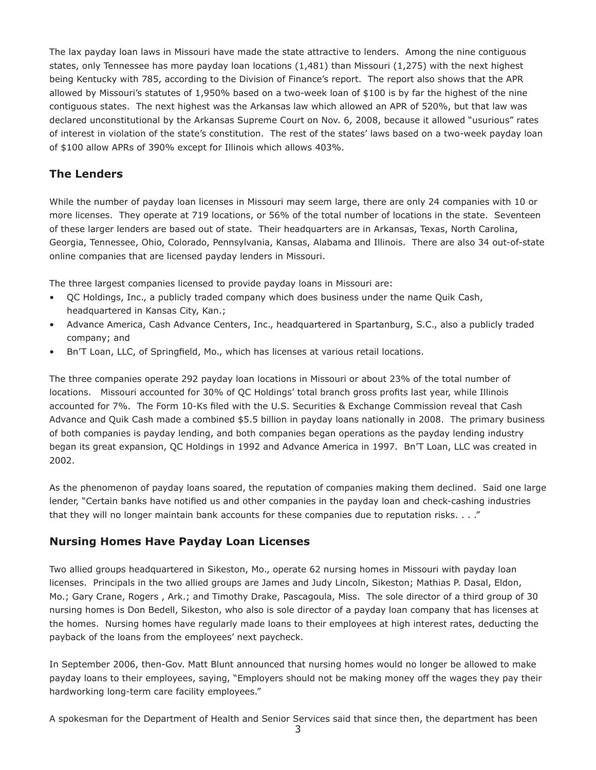The lax payday loan laws in Missouri have made the state attractive to lenders. Among the nine contiguous states, only Tennessee has more payday loan locations (1,481) than Missouri (1,275) with the next highest being Kentucky with 785, according to the Division of Finance's report. The report also shows that the APR allowed by Missouri's statutes of 1,950% based on a two-week loan of \$100 is by far the highest of the nine contiguous states. The next highest was the Arkansas law which allowed an APR of 520%, but that law was declared unconstitutional by the Arkansas Supreme Court on Nov. 6, 2008, because it allowed "usurious" rates of interest in violation of the state's constitution. The rest of the states' laws based on a two-week payday loan of \$100 allow APRs of 390% except for Illinois which allows 403%.

#### **The Lenders**

While the number of payday loan licenses in Missouri may seem large, there are only 24 companies with 10 or more licenses. They operate at 719 locations, or 56% of the total number of locations in the state. Seventeen of these larger lenders are based out of state. Their headquarters are in Arkansas, Texas, North Carolina, Georgia, Tennessee, Ohio, Colorado, Pennsylvania, Kansas, Alabama and Illinois. There are also 34 out-of-state online companies that are licensed payday lenders in Missouri.

The three largest companies licensed to provide payday loans in Missouri are:

- QC Holdings, Inc., a publicly traded company which does business under the name Quik Cash, headquartered in Kansas City, Kan.;
- Advance America, Cash Advance Centers, Inc., headquartered in Spartanburg, S.C., also a publicly traded company; and
- Bn'T Loan, LLC, of Springfield, Mo., which has licenses at various retail locations.

The three companies operate 292 payday loan locations in Missouri or about 23% of the total number of locations. Missouri accounted for 30% of QC Holdings' total branch gross profits last year, while Illinois accounted for 7%. The Form 10-Ks filed with the U.S. Securities & Exchange Commission reveal that Cash Advance and Quik Cash made a combined \$5.5 billion in payday loans nationally in 2008. The primary business of both companies is payday lending, and both companies began operations as the payday lending industry began its great expansion, QC Holdings in 1992 and Advance America in 1997. Bn'T Loan, LLC was created in 2002.

As the phenomenon of payday loans soared, the reputation of companies making them declined. Said one large lender, "Certain banks have notified us and other companies in the payday loan and check-cashing industries that they will no longer maintain bank accounts for these companies due to reputation risks. . . ."

#### **Nursing Homes Have Payday Loan Licenses**

Two allied groups headquartered in Sikeston, Mo., operate 62 nursing homes in Missouri with payday loan licenses. Principals in the two allied groups are James and Judy Lincoln, Sikeston; Mathias P. Dasal, Eldon, Mo.; Gary Crane, Rogers , Ark.; and Timothy Drake, Pascagoula, Miss. The sole director of a third group of 30 nursing homes is Don Bedell, Sikeston, who also is sole director of a payday loan company that has licenses at the homes. Nursing homes have regularly made loans to their employees at high interest rates, deducting the payback of the loans from the employees' next paycheck.

In September 2006, then-Gov. Matt Blunt announced that nursing homes would no longer be allowed to make payday loans to their employees, saying, "Employers should not be making money off the wages they pay their hardworking long-term care facility employees."

A spokesman for the Department of Health and Senior Services said that since then, the department has been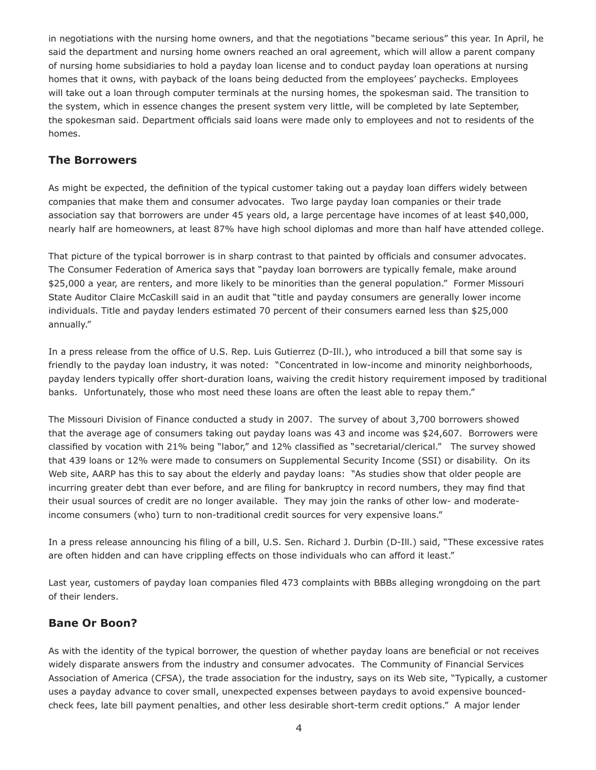in negotiations with the nursing home owners, and that the negotiations "became serious" this year. In April, he said the department and nursing home owners reached an oral agreement, which will allow a parent company of nursing home subsidiaries to hold a payday loan license and to conduct payday loan operations at nursing homes that it owns, with payback of the loans being deducted from the employees' paychecks. Employees will take out a loan through computer terminals at the nursing homes, the spokesman said. The transition to the system, which in essence changes the present system very little, will be completed by late September, the spokesman said. Department officials said loans were made only to employees and not to residents of the homes.

#### **The Borrowers**

As might be expected, the definition of the typical customer taking out a payday loan differs widely between companies that make them and consumer advocates. Two large payday loan companies or their trade association say that borrowers are under 45 years old, a large percentage have incomes of at least \$40,000, nearly half are homeowners, at least 87% have high school diplomas and more than half have attended college.

That picture of the typical borrower is in sharp contrast to that painted by officials and consumer advocates. The Consumer Federation of America says that "payday loan borrowers are typically female, make around \$25,000 a year, are renters, and more likely to be minorities than the general population." Former Missouri State Auditor Claire McCaskill said in an audit that "title and payday consumers are generally lower income individuals. Title and payday lenders estimated 70 percent of their consumers earned less than \$25,000 annually."

In a press release from the office of U.S. Rep. Luis Gutierrez (D-Ill.), who introduced a bill that some say is friendly to the payday loan industry, it was noted: "Concentrated in low-income and minority neighborhoods, payday lenders typically offer short-duration loans, waiving the credit history requirement imposed by traditional banks. Unfortunately, those who most need these loans are often the least able to repay them."

The Missouri Division of Finance conducted a study in 2007. The survey of about 3,700 borrowers showed that the average age of consumers taking out payday loans was 43 and income was \$24,607. Borrowers were classified by vocation with 21% being "labor," and 12% classified as "secretarial/clerical." The survey showed that 439 loans or 12% were made to consumers on Supplemental Security Income (SSI) or disability. On its Web site, AARP has this to say about the elderly and payday loans: "As studies show that older people are incurring greater debt than ever before, and are filing for bankruptcy in record numbers, they may find that their usual sources of credit are no longer available. They may join the ranks of other low- and moderateincome consumers (who) turn to non-traditional credit sources for very expensive loans."

In a press release announcing his filing of a bill, U.S. Sen. Richard J. Durbin (D-Ill.) said, "These excessive rates are often hidden and can have crippling effects on those individuals who can afford it least."

Last year, customers of payday loan companies filed 473 complaints with BBBs alleging wrongdoing on the part of their lenders.

#### **Bane Or Boon?**

As with the identity of the typical borrower, the question of whether payday loans are beneficial or not receives widely disparate answers from the industry and consumer advocates. The Community of Financial Services Association of America (CFSA), the trade association for the industry, says on its Web site, "Typically, a customer uses a payday advance to cover small, unexpected expenses between paydays to avoid expensive bouncedcheck fees, late bill payment penalties, and other less desirable short-term credit options." A major lender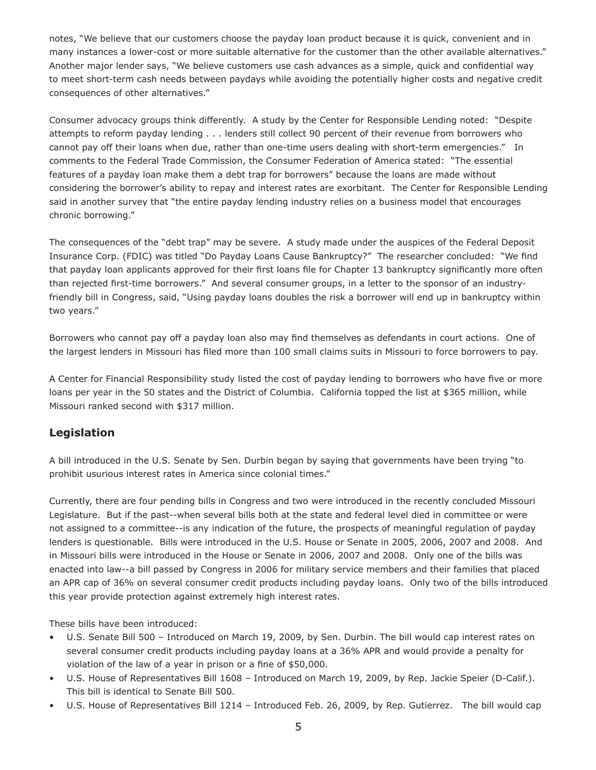notes, "We believe that our customers choose the payday loan product because it is quick, convenient and in many instances a lower-cost or more suitable alternative for the customer than the other available alternatives." Another major lender says, "We believe customers use cash advances as a simple, quick and confidential way to meet short-term cash needs between paydays while avoiding the potentially higher costs and negative credit consequences of other alternatives."

Consumer advocacy groups think differently. A study by the Center for Responsible Lending noted: "Despite attempts to reform payday lending . . . lenders still collect 90 percent of their revenue from borrowers who cannot pay off their loans when due, rather than one-time users dealing with short-term emergencies." In comments to the Federal Trade Commission, the Consumer Federation of America stated: "The essential features of a payday loan make them a debt trap for borrowers" because the loans are made without considering the borrower's ability to repay and interest rates are exorbitant. The Center for Responsible Lending said in another survey that "the entire payday lending industry relies on a business model that encourages chronic borrowing."

The consequences of the "debt trap" may be severe. A study made under the auspices of the Federal Deposit Insurance Corp. (FDIC) was titled "Do Payday Loans Cause Bankruptcy?" The researcher concluded: "We find that payday loan applicants approved for their first loans file for Chapter 13 bankruptcy significantly more often than rejected first-time borrowers." And several consumer groups, in a letter to the sponsor of an industryfriendly bill in Congress, said, "Using payday loans doubles the risk a borrower will end up in bankruptcy within two years."

Borrowers who cannot pay off a payday loan also may find themselves as defendants in court actions. One of the largest lenders in Missouri has filed more than 100 small claims suits in Missouri to force borrowers to pay.

A Center for Financial Responsibility study listed the cost of payday lending to borrowers who have five or more loans per year in the 50 states and the District of Columbia. California topped the list at \$365 million, while Missouri ranked second with \$317 million.

#### **Legislation**

A bill introduced in the U.S. Senate by Sen. Durbin began by saying that governments have been trying "to prohibit usurious interest rates in America since colonial times."

Currently, there are four pending bills in Congress and two were introduced in the recently concluded Missouri Legislature. But if the past--when several bills both at the state and federal level died in committee or were not assigned to a committee--is any indication of the future, the prospects of meaningful regulation of payday lenders is questionable. Bills were introduced in the U.S. House or Senate in 2005, 2006, 2007 and 2008. And in Missouri bills were introduced in the House or Senate in 2006, 2007 and 2008. Only one of the bills was enacted into law--a bill passed by Congress in 2006 for military service members and their families that placed an APR cap of 36% on several consumer credit products including payday loans. Only two of the bills introduced this year provide protection against extremely high interest rates.

These bills have been introduced:

- U.S. Senate Bill 500 Introduced on March 19, 2009, by Sen. Durbin. The bill would cap interest rates on several consumer credit products including payday loans at a 36% APR and would provide a penalty for violation of the law of a year in prison or a fine of \$50,000.
- U.S. House of Representatives Bill 1608 Introduced on March 19, 2009, by Rep. Jackie Speier (D-Calif.). This bill is identical to Senate Bill 500.
- U.S. House of Representatives Bill 1214 Introduced Feb. 26, 2009, by Rep. Gutierrez. The bill would cap